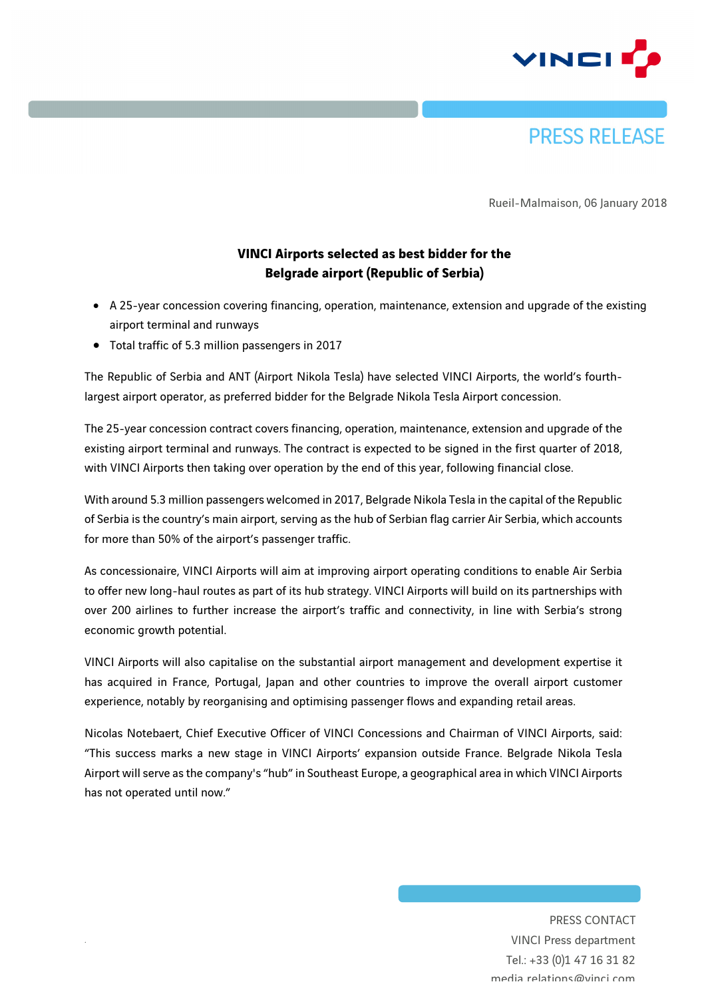



Rueil-Malmaison, 06 January 2018

## **VINCI Airports selected as best bidder for the Belgrade airport (Republic of Serbia)**

- A 25-year concession covering financing, operation, maintenance, extension and upgrade of the existing airport terminal and runways
- Total traffic of 5.3 million passengers in 2017

*.*

The Republic of Serbia and ANT (Airport Nikola Tesla) have selected VINCI Airports, the world's fourthlargest airport operator, as preferred bidder for the Belgrade Nikola Tesla Airport concession.

The 25-year concession contract covers financing, operation, maintenance, extension and upgrade of the existing airport terminal and runways. The contract is expected to be signed in the first quarter of 2018, with VINCI Airports then taking over operation by the end of this year, following financial close.

With around 5.3 million passengers welcomed in 2017, Belgrade Nikola Tesla in the capital of the Republic of Serbia is the country's main airport, serving as the hub of Serbian flag carrier Air Serbia, which accounts for more than 50% of the airport's passenger traffic.

As concessionaire, VINCI Airports will aim at improving airport operating conditions to enable Air Serbia to offer new long-haul routes as part of its hub strategy. VINCI Airports will build on its partnerships with over 200 airlines to further increase the airport's traffic and connectivity, in line with Serbia's strong economic growth potential.

VINCI Airports will also capitalise on the substantial airport management and development expertise it has acquired in France, Portugal, Japan and other countries to improve the overall airport customer experience, notably by reorganising and optimising passenger flows and expanding retail areas.

Nicolas Notebaert, Chief Executive Officer of VINCI Concessions and Chairman of VINCI Airports, said: "This success marks a new stage in VINCI Airports' expansion outside France. Belgrade Nikola Tesla Airport will serve as the company's "hub" in Southeast Europe, a geographical area in which VINCI Airports has not operated until now."

> PRESS CONTACT VINCI Press department Tel.: +33 (0)1 47 16 31 82 media.relations@vinci.com